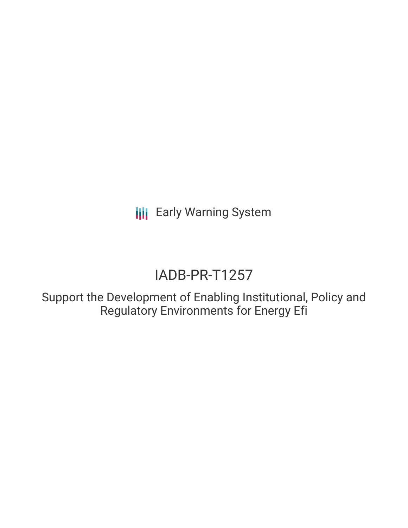**III** Early Warning System

# IADB-PR-T1257

Support the Development of Enabling Institutional, Policy and Regulatory Environments for Energy Efi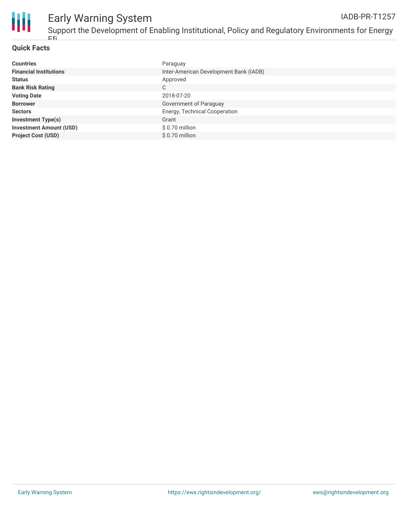

### **Quick Facts**

Efi

| <b>Countries</b>               | Paraguay                               |
|--------------------------------|----------------------------------------|
| <b>Financial Institutions</b>  | Inter-American Development Bank (IADB) |
| <b>Status</b>                  | Approved                               |
| <b>Bank Risk Rating</b>        | C                                      |
| <b>Voting Date</b>             | 2018-07-20                             |
| <b>Borrower</b>                | Government of Paraguay                 |
| <b>Sectors</b>                 | Energy, Technical Cooperation          |
| <b>Investment Type(s)</b>      | Grant                                  |
| <b>Investment Amount (USD)</b> | $$0.70$ million                        |
| <b>Project Cost (USD)</b>      | \$0.70 million                         |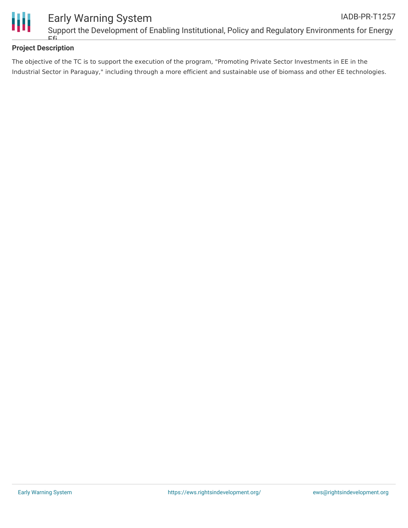

## **Project Description**

The objective of the TC is to support the execution of the program, "Promoting Private Sector Investments in EE in the Industrial Sector in Paraguay," including through a more efficient and sustainable use of biomass and other EE technologies.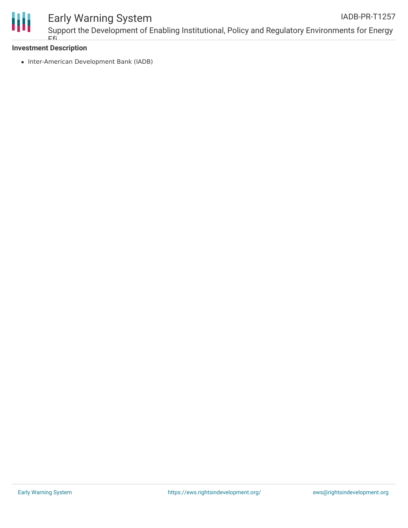

#### Early Warning System Support the Development of Enabling Institutional, Policy and Regulatory Environments for Energy IADB-PR-T1257

## **Investment Description** Efi

• Inter-American Development Bank (IADB)